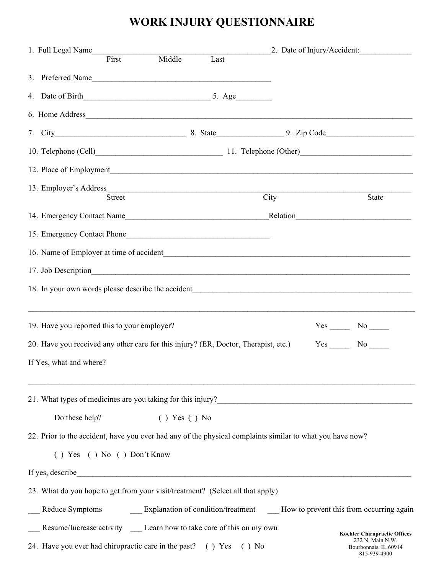## **WORK INJURY QUESTIONNAIRE**

| 1. Full Legal Name<br>First                                                                               | 2. Date of Injury/Accident:<br>Middle<br>Last                               |         |        |                                           |
|-----------------------------------------------------------------------------------------------------------|-----------------------------------------------------------------------------|---------|--------|-------------------------------------------|
|                                                                                                           |                                                                             |         |        |                                           |
| 3. Preferred Name                                                                                         |                                                                             |         |        |                                           |
|                                                                                                           |                                                                             |         |        |                                           |
| 6. Home Address                                                                                           |                                                                             |         |        |                                           |
|                                                                                                           |                                                                             |         |        |                                           |
| 10. Telephone (Cell) 11. Telephone (Other)                                                                |                                                                             |         |        |                                           |
|                                                                                                           |                                                                             |         |        |                                           |
|                                                                                                           |                                                                             |         |        |                                           |
| <b>Street</b>                                                                                             |                                                                             | City    |        | State                                     |
|                                                                                                           |                                                                             |         |        |                                           |
| 15. Emergency Contact Phone                                                                               |                                                                             |         |        |                                           |
|                                                                                                           |                                                                             |         |        |                                           |
| 17. Job Description                                                                                       |                                                                             |         |        |                                           |
|                                                                                                           |                                                                             |         |        |                                           |
|                                                                                                           |                                                                             |         |        |                                           |
| 19. Have you reported this to your employer?<br>$Yes$ No $\_\_$                                           |                                                                             |         |        |                                           |
| 20. Have you received any other care for this injury? (ER, Doctor, Therapist, etc.)                       |                                                                             |         | Yes No |                                           |
| If Yes, what and where?                                                                                   |                                                                             |         |        |                                           |
|                                                                                                           |                                                                             |         |        |                                           |
| Do these help?                                                                                            | $( )$ Yes $( )$ No                                                          |         |        |                                           |
| 22. Prior to the accident, have you ever had any of the physical complaints similar to what you have now? |                                                                             |         |        |                                           |
| $( )$ Yes $( )$ No $( )$ Don't Know                                                                       |                                                                             |         |        |                                           |
|                                                                                                           |                                                                             |         |        |                                           |
| 23. What do you hope to get from your visit/treatment? (Select all that apply)                            |                                                                             |         |        |                                           |
| Reduce Symptoms                                                                                           | Explanation of condition/treatment How to prevent this from occurring again |         |        |                                           |
| Resume/Increase activity ______ Learn how to take care of this on my own                                  |                                                                             |         |        | <b>Koehler Chiropractic Offices</b>       |
| 24. Have you ever had chiropractic care in the past? () Yes                                               |                                                                             | $()$ No |        | 232 N. Main N.W.<br>Bourbonnais, IL 60914 |

815-939-4900